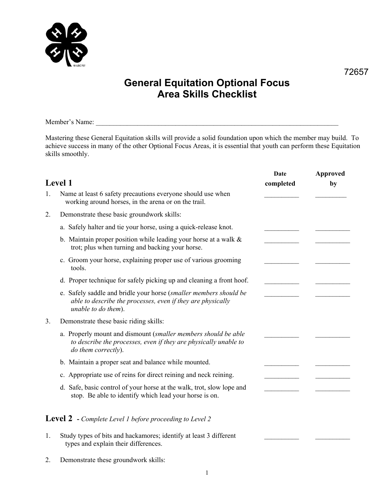

## **General Equitation Optional Focus Area Skills Checklist**

Member's Name:

Mastering these General Equitation skills will provide a solid foundation upon which the member may build. To achieve success in many of the other Optional Focus Areas, it is essential that youth can perform these Equitation skills smoothly.

| <b>Level 1</b> |                                                                                                                                                           | Date<br>completed | Approved<br>by |
|----------------|-----------------------------------------------------------------------------------------------------------------------------------------------------------|-------------------|----------------|
| $\mathbf{1}$ . | Name at least 6 safety precautions everyone should use when<br>working around horses, in the arena or on the trail.                                       |                   |                |
| 2.             | Demonstrate these basic groundwork skills:                                                                                                                |                   |                |
|                | a. Safely halter and tie your horse, using a quick-release knot.                                                                                          |                   |                |
|                | b. Maintain proper position while leading your horse at a walk $\&$<br>trot; plus when turning and backing your horse.                                    |                   |                |
|                | c. Groom your horse, explaining proper use of various grooming<br>tools.                                                                                  |                   |                |
|                | d. Proper technique for safely picking up and cleaning a front hoof.                                                                                      |                   |                |
|                | e. Safely saddle and bridle your horse (smaller members should be<br>able to describe the processes, even if they are physically<br>unable to do them).   |                   |                |
| 3.             | Demonstrate these basic riding skills:                                                                                                                    |                   |                |
|                | a. Properly mount and dismount (smaller members should be able<br>to describe the processes, even if they are physically unable to<br>do them correctly). |                   |                |
|                | b. Maintain a proper seat and balance while mounted.                                                                                                      |                   |                |
|                | c. Appropriate use of reins for direct reining and neck reining.                                                                                          |                   |                |
|                | d. Safe, basic control of your horse at the walk, trot, slow lope and<br>stop. Be able to identify which lead your horse is on.                           |                   |                |
|                | <b>Level 2</b> - Complete Level 1 before proceeding to Level 2                                                                                            |                   |                |
| 1.             | Study types of bits and hackamores; identify at least 3 different<br>types and explain their differences.                                                 |                   |                |

2. Demonstrate these groundwork skills: